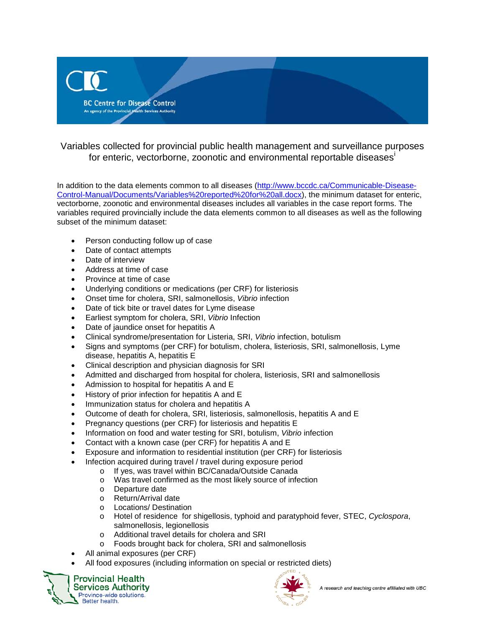

Variables collected for provincial public health management and surveillance purposes for enter[i](#page-1-0)c, vectorborne, zoonotic and environmental reportable diseases<sup>i</sup>

In addition to the data elements common to all diseases [\(http://www.bccdc.ca/Communicable-Disease-](http://www.bccdc.ca/Communicable-Disease-Control-Manual/Documents/Variables%20reported%20for%20all.docx)[Control-Manual/Documents/Variables%20reported%20for%20all.docx\)](http://www.bccdc.ca/Communicable-Disease-Control-Manual/Documents/Variables%20reported%20for%20all.docx), the minimum dataset for enteric, vectorborne, zoonotic and environmental diseases includes all variables in the case report forms. The variables required provincially include the data elements common to all diseases as well as the following subset of the minimum dataset:

- Person conducting follow up of case
- Date of contact attempts
- Date of interview
- Address at time of case
- Province at time of case
- Underlying conditions or medications (per CRF) for listeriosis
- Onset time for cholera, SRI, salmonellosis, *Vibrio* infection
- Date of tick bite or travel dates for Lyme disease
- Earliest symptom for cholera, SRI, *Vibrio* Infection
- Date of jaundice onset for hepatitis A
- Clinical syndrome/presentation for Listeria, SRI, *Vibrio* infection, botulism
- Signs and symptoms (per CRF) for botulism, cholera, listeriosis, SRI, salmonellosis, Lyme disease, hepatitis A, hepatitis E
- Clinical description and physician diagnosis for SRI
- Admitted and discharged from hospital for cholera, listeriosis, SRI and salmonellosis
- Admission to hospital for hepatitis A and E
- History of prior infection for hepatitis A and E
- Immunization status for cholera and hepatitis A
- Outcome of death for cholera, SRI, listeriosis, salmonellosis, hepatitis A and E
- Pregnancy questions (per CRF) for listeriosis and hepatitis E
- Information on food and water testing for SRI, botulism, *Vibrio* infection
- Contact with a known case (per CRF) for hepatitis A and E
- Exposure and information to residential institution (per CRF) for listeriosis
- Infection acquired during travel / travel during exposure period
	- o If yes, was travel within BC/Canada/Outside Canada<br>
	o Was travel confirmed as the most likely source of infe
	- $\circ$  Was travel confirmed as the most likely source of infection  $\circ$  Departure date
	- Departure date
	- o Return/Arrival date
	- o Locations/ Destination
	- o Hotel of residence for shigellosis, typhoid and paratyphoid fever, STEC, *Cyclospora*, salmonellosis, legionellosis
	- o Additional travel details for cholera and SRI<br>o Foods brought back for cholera SRI and sa
	- Foods brought back for cholera, SRI and salmonellosis
- All animal exposures (per CRF)
- All food exposures (including information on special or restricted diets)